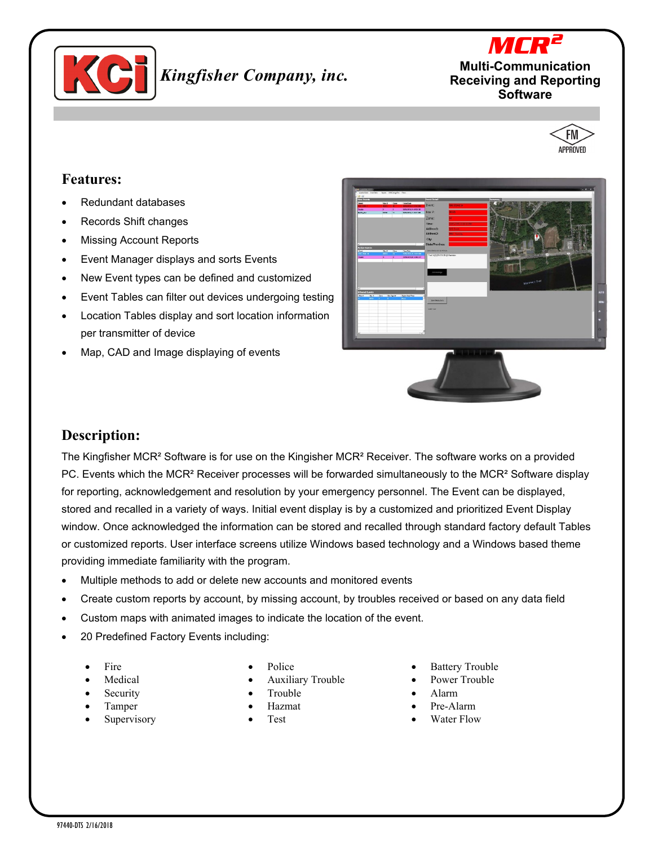

# *Kingfisher Company, inc.*





#### **Features:**

- Redundant databases
- Records Shift changes
- **Missing Account Reports**
- Event Manager displays and sorts Events
- New Event types can be defined and customized
- Event Tables can filter out devices undergoing testing
- Location Tables display and sort location information per transmitter of device
- Map, CAD and Image displaying of events





#### **Description:**

The Kingfisher MCR² Software is for use on the Kingisher MCR² Receiver. The software works on a provided PC. Events which the MCR<sup>2</sup> Receiver processes will be forwarded simultaneously to the MCR<sup>2</sup> Software display for reporting, acknowledgement and resolution by your emergency personnel. The Event can be displayed, stored and recalled in a variety of ways. Initial event display is by a customized and prioritized Event Display window. Once acknowledged the information can be stored and recalled through standard factory default Tables or customized reports. User interface screens utilize Windows based technology and a Windows based theme providing immediate familiarity with the program.

- Multiple methods to add or delete new accounts and monitored events
- Create custom reports by account, by missing account, by troubles received or based on any data field
- Custom maps with animated images to indicate the location of the event.
- 20 Predefined Factory Events including:
	- **Fire**
	- **Medical**
	- **Security**
	- Tamper
	- Supervisory
- Police
- Auxiliary Trouble
- **Trouble**
- Hazmat
- Test
- **Battery Trouble**
- Power Trouble
- Alarm
- Pre-Alarm
- Water Flow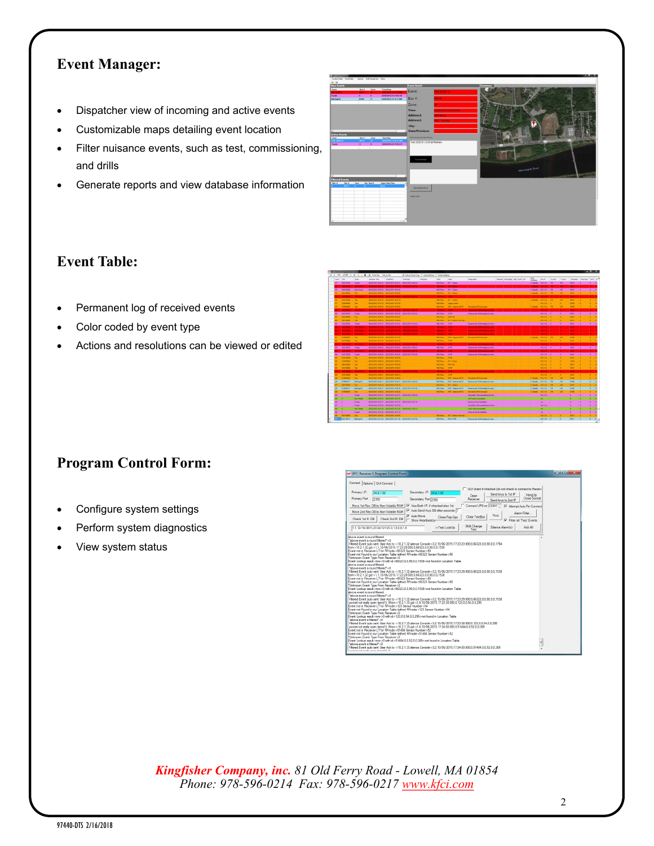## **Event Manager:**

- Dispatcher view of incoming and active events
- Customizable maps detailing event location
- Filter nuisance events, such as test, commissioning, and drills
- Generate reports and view database information



## **Event Table:**

- Permanent log of received events
- Color coded by event type
- Actions and resolutions can be viewed or edited

| Court      | <b>UO</b>                      | . .<br>Form                     | -----<br>Receiver Time                                                                                   | <br>TexaMACK                                                | <b>P. LONG BY STRIK FIRE</b><br>Teacher | .<br>Teacher | <b>STAR VESTEX</b><br>Mill             | <b>MO</b>                  | Fascoroled                                                                     | Readers Municipally State County 29 |                            |   | PMG<br>Pleftere          | from 1P                     | Xeased     | Yeard     |                       | Terrente Terafon | APN.                           |  |
|------------|--------------------------------|---------------------------------|----------------------------------------------------------------------------------------------------------|-------------------------------------------------------------|-----------------------------------------|--------------|----------------------------------------|----------------------------|--------------------------------------------------------------------------------|-------------------------------------|----------------------------|---|--------------------------|-----------------------------|------------|-----------|-----------------------|------------------|--------------------------------|--|
|            | <b>MACRIFIN</b>                | <b>Truckle</b>                  |                                                                                                          | 09/22/2015 16:54:56 BM/23/2015 16:54:56 Libraria-Strategies |                                         |              | <b>FAD Room</b>                        | <b>XF1-1 Baker</b>         |                                                                                |                                     |                            |   | C/Deste 102132           |                             | xx         | 228       | <b>MSC</b>            |                  |                                |  |
|            |                                | <b>DOC YAC</b>                  |                                                                                                          |                                                             | <b>MARKET AVENUE</b>                    |              | <b>Carl Store</b>                      | <b>MAGAZINE</b>            |                                                                                |                                     |                            |   | <b>Profession</b>        |                             |            | <b>In</b> | <b>MAYO</b>           |                  |                                |  |
| 276        | <b>REACTIONAL</b>              | <b>Newle Draws</b>              | 09/22/2015 15:53:02 09/23/2015 15:53:02                                                                  |                                                             |                                         |              | <b>FAD Room</b>                        | <b>SPT-1 Baker</b>         |                                                                                |                                     |                            |   | C104454 102133           |                             | $-1276$    | 228       | MOST.                 | - 4              | in.                            |  |
|            | 6631202904                     | Test                            | 09/22/2015 15:00:58. 09/22/2015 15:50:58.                                                                |                                                             |                                         |              | <b>FAD Foon</b>                        | <b>IST-4 have</b>          |                                                                                |                                     |                            |   | C10mls 102.132 376       |                             |            | 229       | 66312                 |                  |                                |  |
|            |                                | $-$                             |                                                                                                          | <b>CONTRACTOR</b>                                           | <b>CONTINUES TO BE TO</b>               |              | <b>Fact Room</b>                       | ٠.                         |                                                                                |                                     |                            |   |                          |                             |            |           |                       |                  |                                |  |
|            | <b>ADMINISTRATION</b>          | <b>Ted</b>                      | 09/22/2015 10:43:18. 09/23/2015 15:43:19.                                                                |                                                             |                                         |              | <b>F&amp;D Foon</b>                    | <b>WILLERS</b>             |                                                                                |                                     |                            |   | C:Dasia 102132           |                             | <b>INK</b> | 238       | <b>NOW?</b>           |                  |                                |  |
|            | Antennati                      | Test                            | 09/22/2015 19:37:02 09/23/2015 19:37:02                                                                  |                                                             |                                         |              | <b>FRD Form</b>                        | <b>Langer Credit</b>       |                                                                                |                                     |                            |   |                          | 10.2.1.32                   |            |           | 3770                  |                  |                                |  |
|            | 0130500907                     | Tee                             | 09/22/2015 15:26:52 05:22/2015 15:26:52.                                                                 |                                                             |                                         |              | <b>F&amp;D Foon</b>                    | IRAC-Dewne NACHE           | 30 ends the FIAC test wood                                                     |                                     |                            |   | C10exfa., 102.132        |                             | 1376       | 238       | 01355                 |                  |                                |  |
|            | <b>LESTING</b>                 | <b>FIRE STAR</b>                | <b>DESPESSION CONTRACTOR IN A DESPESSION</b>                                                             |                                                             |                                         |              | <b>FRO Form</b>                        | <b>STAR</b>                | <b>Receive and Although the track</b>                                          |                                     |                            |   |                          | 102130 1                    |            |           | <b>NOTE</b>           |                  |                                |  |
| 368        | <b>ALCOHOL: NO</b>             | Touble                          | 09/22/2015 10:20:45  09/22/2015 15:22:45  09/22/2015 15:25:23.                                           |                                                             |                                         |              | <b>F&amp;D Foom</b>                    | <b>STAR</b>                | Receiver sent ACAbouledge for event.                                           |                                     | <b>State Street Street</b> |   |                          | $102132 - 0$                |            | ×         | 56321                 | $\overline{1}$   | $-1$                           |  |
|            | <b>DESCRIPTION</b>             | Test.                           | 09/22/2019 19:20:33 09/22/2019 19:20:34                                                                  |                                                             |                                         |              | <b>FRD Form</b>                        | <b>SPRTLES</b>             |                                                                                |                                     |                            |   |                          | 102332                      |            |           | <b>OEN'R</b>          |                  |                                |  |
|            | 563130090                      | Text                            | 09/22/2015 15:20:03  05/22/2015 15:20:03                                                                 |                                                             |                                         |              | <b>F&amp;D Room</b>                    | KF3-2 Batter Pul Hook      |                                                                                |                                     |                            |   |                          | 102132                      |            |           | 56310                 |                  |                                |  |
|            | <b>MAYBERS</b>                 | <b>Truckle</b>                  | 09/22/2015 15:00 05/23/2015 15:54:01 05/22/2015 15:05:23                                                 |                                                             |                                         |              | <b>F&amp;D Fears</b>                   | <b>STAR</b>                | Receiver sent ACK contedge for exect.                                          |                                     |                            |   |                          | $102332 - 0$                |            | ٠         | MOZI                  | 73               |                                |  |
|            | 14500                          | <b>Service</b>                  |                                                                                                          |                                                             |                                         |              | <b>Fact Foors</b>                      | <b>STMP</b>                | Facever and ACA's weeks for event.                                             |                                     |                            |   |                          | 10-2-1-33                   |            |           | <b>SOP</b>            |                  |                                |  |
|            | <b>NOTE</b>                    | $\sim$                          |                                                                                                          |                                                             |                                         |              | <b>FRO Form</b>                        | m.                         | <b>Facebook and ACK explodies for event</b>                                    |                                     |                            |   |                          | 102132                      |            |           |                       |                  |                                |  |
|            | <b>NO WWW</b>                  | <b>COL YAK O</b>                | 00222751010 5222151010 002215151417                                                                      |                                                             |                                         |              | <b>Carl Even</b>                       | <b>INTERNATIONAL</b>       | Receive and ADD contains for event.                                            |                                     |                            |   |                          | 102132                      |            |           | 54021                 |                  |                                |  |
|            | commoned                       | Test.                           | 09/22/2015 19:13:23 09/23/2015 19:13:24                                                                  |                                                             |                                         |              | <b>FRD Form</b>                        | <b>IRAC - Newsal NACIO</b> | <b>Marsh tra PAC led need</b>                                                  |                                     |                            |   | C104x54 102132           |                             | 1376       | 238       | <b>CENTE</b>          |                  |                                |  |
|            | \$432100902                    | Tee                             | 09/20/2015 15:12:05  09/22/2015 15:12:05                                                                 |                                                             |                                         |              | <b>F&amp;D Foon</b>                    | \$149                      |                                                                                |                                     |                            |   |                          | 10:2.1.32                   |            |           | 5621                  |                  |                                |  |
|            |                                | <b>COMPANY</b><br><b>Toylor</b> |                                                                                                          | <b>CONTRACTOR</b>                                           | <b><i>CALIFORNIA MUSICAL</i></b>        |              | <b>FRO Room</b>                        |                            | <b>Receive and ADD contributes for each 1</b>                                  |                                     |                            |   |                          | <b>Basic Library</b>        |            |           | <b>MAY</b>            |                  |                                |  |
| 263        | ALCOHOL: NO                    |                                 | 09/22/2015 10:05:40  09/22/2015 15:05:40  09/22/2015 15:06:21                                            |                                                             | <b>COLORADO</b>                         |              | <b>F&amp;D Foom</b>                    | $ 5388$                    | Receiver sent ACA'coviedge for event.                                          |                                     |                            | . |                          | $102332 - 0$                |            | <b>In</b> | 54021                 | $\rightarrow$    | $-1$                           |  |
| <b>SKE</b> |                                | <b>PROGRESS</b>                 | <b>CASE COVA PLOATE IN CASE PLOATE</b>                                                                   |                                                             |                                         |              | <b>PED Form</b>                        | <b>STAR</b><br><b>STAR</b> | <b>Receive and ADD contains for each.</b><br>Facever and ADDocumbia for event. |                                     |                            |   |                          | <b>Basser For</b><br>102132 | $\sim$     | <b>In</b> | <b>NOT</b>            |                  | m.                             |  |
|            | 5432108702                     | Touble<br>Yes.                  | 09/22/2015 15:03:05  09/22/2015 15:00:05  09/22/2015 15:03:20<br>06/20/2015 16:02:06 BM/23/2015 16:02:06 |                                                             |                                         |              | <b>F&amp;D Room</b><br><b>FAD Room</b> | <b>STAR</b>                |                                                                                |                                     |                            |   |                          | 102.132                     |            |           | 54321<br><b>Scott</b> | $\mathbf{z}$     |                                |  |
|            | <b>MICHIGAGE</b><br>1204030904 | Ted                             | 09/22/2015 15:00:19 05/22/2015 15:00:19.                                                                 |                                                             |                                         |              | <b>F&amp;D Foon</b>                    | KFS-1 Button               |                                                                                |                                     |                            |   |                          | $10233 - 1$                 |            |           | 1296                  |                  |                                |  |
|            | <b><i><u>PASSARING</u></i></b> | Test.                           | ON 22-2015 14 FR 15. BV 23-2015 14 FR 16.                                                                |                                                             |                                         |              | <b>FRD Food</b>                        | <b>KPRTIES</b>             |                                                                                |                                     |                            |   |                          | 102332                      |            |           | <b>OSN'A</b>          |                  |                                |  |
|            | 5432100902                     | Text                            | 09/20/2015 14:09:27 85/22/2015 14:59:27                                                                  |                                                             |                                         |              | <b>F&amp;D Foom</b>                    | 5149                       |                                                                                |                                     |                            |   |                          | $102332 - 1$                |            |           | 54321                 |                  |                                |  |
|            | <b>MATTERS</b>                 | --                              | <b>DESCRIPTION OF A REPORT OF A REAL PROPERTY OF A REAL</b>                                              |                                                             |                                         |              | <b>FIND Form</b>                       | <b>INTER</b>               | <b>Facebook and ACRAMENTAL for each 1</b>                                      |                                     |                            |   |                          | 102130                      |            |           | <b>MAY</b>            |                  |                                |  |
|            | <b>ADVISORIA</b>               | Ted                             | 09/22/2015.14:55:21. 05/22/2015.14:55:21.                                                                |                                                             |                                         |              | <b>F&amp;D Foon</b>                    | <b>STAD</b>                |                                                                                |                                     |                            |   |                          | 102132                      |            | ٠         | 5021                  |                  |                                |  |
|            | семирово                       | <b>Test</b>                     | 09/22/2015 14:50:51 09/23/2015 14:50:52                                                                  |                                                             |                                         |              | <b>FILD Form</b>                       | <b>IRAC-Fenna NACIO</b>    | <b>Minute the PAC and most</b>                                                 |                                     |                            |   | C/Drifts                 | 102333                      | 330        | 228       | <b>CENT</b>           |                  |                                |  |
| ×          | CROOSCIETY?                    | <b>EnOrg-Fall</b>               | 09/22/2015 14:49:11. 09/22/2015 14:49:12. 09/22/2015 14:49:42.                                           |                                                             |                                         |              | <b>F&amp;D Foom</b>                    | <b>IRAC-Edward NACIO</b>   | Receiver sent ACR/cruikdge for event.                                          |                                     |                            |   | C:Deste 232.             |                             | 18         | 228       | orass                 | $\mathbf{r}$     | $\mathbf{r}$                   |  |
|            | <b>BESCRIPPS</b>               | Ted.                            | 09/22/2015 14:43 15 / 09/23/2015 14:43 15                                                                |                                                             |                                         |              | <b>FILD Form</b>                       | <b>SPT-1 Baker</b>         |                                                                                |                                     |                            |   | C/Davida, 10.2.1.33  376 |                             |            | 228       | <b>MOK?</b>           |                  |                                |  |
|            | deMARK7Y7                      | <b>Bellingful</b>               | 09/22/2015 14:40:37. 09/22/2015 14:40:38. 09/22/2015 14:41:06.                                           |                                                             |                                         |              | F&D Foom                               | IRAC-Dewnal NAC10          | Receiver sent ACN/cruikdge for event.                                          |                                     |                            |   | Cribeata.                | 102.133                     | 325        | 228       | <b>OHMS</b>           | - 7              | $-1$                           |  |
|            | delektronee                    | Yes.                            | 09/20/2015 14:08:22 89/23/2015 14:09:22                                                                  |                                                             |                                         |              | <b>FAD Room</b>                        | IRAC-Fenna NACID           | Minute the 1980 and most                                                       |                                     |                            |   | C/Deste 102132           |                             | 336        | 228       | draw)                 |                  |                                |  |
| 264        | -                              | Touble                          | 09/22/2015 14:27:51. 09/22/2015 14:27:51. 09/23/2015 14:55:32.                                           |                                                             |                                         |              |                                        |                            | Heat End 1 FecaverdReceiver Hea.                                               |                                     |                            |   |                          | 102332                      |            |           | $\circ$               | <b>ID</b>        | $1 - 1$                        |  |
|            | ٠                              | Aid Truck                       | 09/22/2019 14:27:51  09/23/2019 14:27:51                                                                 |                                                             |                                         |              |                                        |                            | <b>M.P. and recovered at</b>                                                   |                                     |                            |   |                          | w.                          |            |           | ٠                     | ٠                | ٠                              |  |
| 5iO        | $\mathbb{R}$                   | Toyota                          | 05/22/2015 14:27:47. 05/22/2015 14:27:47. 05/34/2015 13:01:30                                            |                                                             |                                         |              |                                        |                            | <b>Banguar #1 lost Heatflast</b>                                               |                                     |                            |   |                          | w.                          |            |           | $\circ$               | <b>In</b>        |                                |  |
|            | 14                             | <b>Tender</b>                   | 06/22/2015 14:27:06 - 05/23/2015 14:27:00                                                                |                                                             |                                         |              |                                        |                            | Heat East 2 Recommediatory Hea                                                 |                                     |                            |   |                          | 102333                      |            |           | <b>In</b>             | ٠                | ٠.                             |  |
|            | ٠                              | Aug Truckle                     | 09/22/2015 14:27:36  09/22/2015 14:27:36  09/24/2015 12:02:03                                            |                                                             |                                         |              |                                        |                            | 2rd IP sodore connected                                                        |                                     |                            |   |                          | $\sim$                      |            |           | ٠                     |                  | $\sim$                         |  |
| 229        | - 2                            | <b>Tought</b>                   | 09/22/2015 14:27:10 89/23/2015 14:27:32                                                                  |                                                             |                                         |              |                                        |                            | <b>Receive £21nd Heather</b>                                                   |                                     |                            |   |                          | $\sim$                      |            |           | $\circ$               | in.              | $1 - 0$                        |  |
| ZX.        | 5631300904                     | Text                            | 09/22/2015 14:20:03  05/22/2015 14:20:05                                                                 |                                                             |                                         |              | <b>F&amp;D Foon</b>                    | AF3-2 Baton Pul Hook       |                                                                                |                                     |                            |   |                          | 102132                      |            |           | 5000 4                |                  |                                |  |
|            | SEMINISTY?                     | <b>Ballymia</b>                 | 06/22/2015 14 11:44  05/23/2015 14:11:45  05/23/2015 14:27:04                                            |                                                             |                                         |              | <b>FAD Reser</b>                       | <b>IRAC STAR</b>           | Receiver sent ACKnowledge for exect.                                           |                                     |                            |   |                          | $102332 - 0$                |            |           | Mann                  |                  | a.<br>$\overline{\phantom{a}}$ |  |
|            |                                |                                 |                                                                                                          |                                                             |                                         |              |                                        |                            |                                                                                |                                     |                            |   |                          |                             |            |           |                       |                  |                                |  |

## **Program Control Form:**

- Configure system settings
- Perform system diagnostics
- View system status

| <b>KF</b> KFCi Receiver 1 Program Control Form                                                                                                                                                                                                                                                                                                                                                                                                                                                                                                                                                                                                                                                                                                                                                                                                                                                                                                                                                                                                                                                                                                                                                                                                                                                                                                                                                                                                                                                                                                                                                                                                                                                                                                                                                                                                                                                                                                                                                                                                                                                                                                                                                                                                                                                                                                                                                                   | $\begin{array}{c c}\n\hline\n\end{array}$ |  |  |  |  |  |
|------------------------------------------------------------------------------------------------------------------------------------------------------------------------------------------------------------------------------------------------------------------------------------------------------------------------------------------------------------------------------------------------------------------------------------------------------------------------------------------------------------------------------------------------------------------------------------------------------------------------------------------------------------------------------------------------------------------------------------------------------------------------------------------------------------------------------------------------------------------------------------------------------------------------------------------------------------------------------------------------------------------------------------------------------------------------------------------------------------------------------------------------------------------------------------------------------------------------------------------------------------------------------------------------------------------------------------------------------------------------------------------------------------------------------------------------------------------------------------------------------------------------------------------------------------------------------------------------------------------------------------------------------------------------------------------------------------------------------------------------------------------------------------------------------------------------------------------------------------------------------------------------------------------------------------------------------------------------------------------------------------------------------------------------------------------------------------------------------------------------------------------------------------------------------------------------------------------------------------------------------------------------------------------------------------------------------------------------------------------------------------------------------------------|-------------------------------------------|--|--|--|--|--|
| Connect   Options   GUI Connect                                                                                                                                                                                                                                                                                                                                                                                                                                                                                                                                                                                                                                                                                                                                                                                                                                                                                                                                                                                                                                                                                                                                                                                                                                                                                                                                                                                                                                                                                                                                                                                                                                                                                                                                                                                                                                                                                                                                                                                                                                                                                                                                                                                                                                                                                                                                                                                  |                                           |  |  |  |  |  |
| □ GUI client if checked (do not check to connect to Receiv-<br>Secondary I.P.<br>Primary I.P.<br>10.2.1.32<br>10.2.1.33<br>Send Arys to 1st IP<br>HangUp<br>Open<br>Close Socket<br><b>Primary Port</b><br>2350<br>Receiver<br>Secondary Port 2350<br>Send Arvs to 2nd IP                                                                                                                                                                                                                                                                                                                                                                                                                                                                                                                                                                                                                                                                                                                                                                                                                                                                                                                                                                                                                                                                                                                                                                                                                                                                                                                                                                                                                                                                                                                                                                                                                                                                                                                                                                                                                                                                                                                                                                                                                                                                                                                                        |                                           |  |  |  |  |  |
| Connect UPS on COM1 _   V Attempt Auto Re-Connect<br>Move 1st Rec. DB to Non-Volatile RAM<br>V Use Both I.P. if checked else 1st<br>M Auto Send Arvs DB after seconds-17<br>Move 2nd Rec DB to Non-Volatile RAM<br>Alarm Filter<br>Print<br>V Auto Move<br><b>Clear TextBox</b><br>Close Pop-Ups<br>Check 1st R. DR<br>Check 2nd R. DB<br>Show Heartbeat(sy<br>Filter all 'Test' Events<br>⊽<br>Shift Change<br>Silence Alarm(s)<br><-Test LookUp<br>Ack All<br>1.1.12/10/2013.23:34:12:123.3.1.0.0.0.1.0<br>Test                                                                                                                                                                                                                                                                                                                                                                                                                                                                                                                                                                                                                                                                                                                                                                                                                                                                                                                                                                                                                                                                                                                                                                                                                                                                                                                                                                                                                                                                                                                                                                                                                                                                                                                                                                                                                                                                                                |                                           |  |  |  |  |  |
| shove event is round filtered<br>"above event is round filtered"->0<br>Filtered Event auto sent User Ack to ->10.2.1.32 slence Console->3.2.10/06/2015.17:23:23:000.0.66323.0.0.90.0.0.1794<br>from->10.2.1.32 oot->1.1.10/06/2015 17:23:29:000.0.66323.0.0.90.0.0.1538<br>Event not in Receiver LT for RFnode >66323 Sensor Number>90<br>Event not Found in our Location Table (either) RFnode->66323 Sensor Number->90<br>*Unknown Event Type From Receiver->0<br>Event Lookup result->row->0 with id->66323.0.0.90.0.0.1538 <not found="" in="" location="" table<br="">above event is round fittered<br/>"above event is round filtered"-&gt;0<br/>Filtered Event auto sent User Ack to -&gt;10.2.1.32 silence Console-&gt;3.2.10/06/2015.17:23:29:000.0.66323.0.0.90.0.0.1538<br/>from &gt;10.2.1.32 got &gt;1,1,10/06/2015.17:23:29:000.0.66323.0.0.90.0.0.1538<br/>Event not in Receiver LT for RFnode-&gt;66323 Sensor Number-&gt;90<br/>Event not Found in our Location Table (either) RFnode-&gt;66323 Sensor Number-&gt;90<br/>*Unknown Event Type From Receiver&gt;0<br/>Event Lookup result-amw-afl with id-a66323.0.0.90.0.0.1538c-not found in Location Table<br/>above event is round fitered<br/>Oc-"benefit bourn at treve evode"<br/>Filtered Event auto sent User Ack to -&gt;10.2.1.32 slence Console-&gt;3.2.10/06/2015.17:23:29:000.0.66323.0.0.90.0.0.1538<br/>socket not really open (send 1): Dirom-&gt;10.2.1.33 got-&gt;1,6,10/06/2015,17:23:38:000,0,123,0,0,54,0,0,295<br/>Event not in Receiver LT for RFnode-&gt;123 Sensor Number-&gt;54<br/>Event not Found in our Location Table (ether) RFnode &gt;123 Sensor Number&gt;54<br/>"Unknown Event Type From Receiver-&gt;0<br/>Event Lookup result-prow-of) with id-&gt;123.0.0.54.0.0.295<not found="" in="" location="" table<br="">Defined is three reads?<br/>Filtered Event auto sent User Ack to -&gt;10.2.1.33 silence Console-&gt;3.2.10/06/2015.17:23:38:000.0.123.0.0.54.0.0.295<br/>socket not really open (send 1): 0from &gt;10.2.1.33 got &gt;1.6,10/06/2015,17:24:00:000,0,51484,0,0,52,0,0.389<br/>Event not in Receiver LT for RFnode-&gt;51484 Sensor Number-&gt;52<br/>Event not Found in our Location Table (either) RFnode-&gt;51484 Sensor Number-&gt;52<br/>"Unknown Event Type From Receiver-&gt;0<br/>Event Lookup result-anw-a0 with id-a51484.0.0.52.0.0.389c-not found in Location Table</not></not> |                                           |  |  |  |  |  |
| 티<br>above event is fitered ->0<br>Filtered Event auto sent Liser Ack to <> 10.2.1.33 silence Console > 3.2.10/06/2015 17:24:00:000.0.51484.0.0.52.0.0.389<br><b>Different part of the Months</b>                                                                                                                                                                                                                                                                                                                                                                                                                                                                                                                                                                                                                                                                                                                                                                                                                                                                                                                                                                                                                                                                                                                                                                                                                                                                                                                                                                                                                                                                                                                                                                                                                                                                                                                                                                                                                                                                                                                                                                                                                                                                                                                                                                                                                |                                           |  |  |  |  |  |

*Kingfisher Company, inc. 81 Old Ferry Road - Lowell, MA 01854 Phone: 978-596-0214 Fax: 978-596-0217 [www.kfci.com](http://www.kfci.com/)*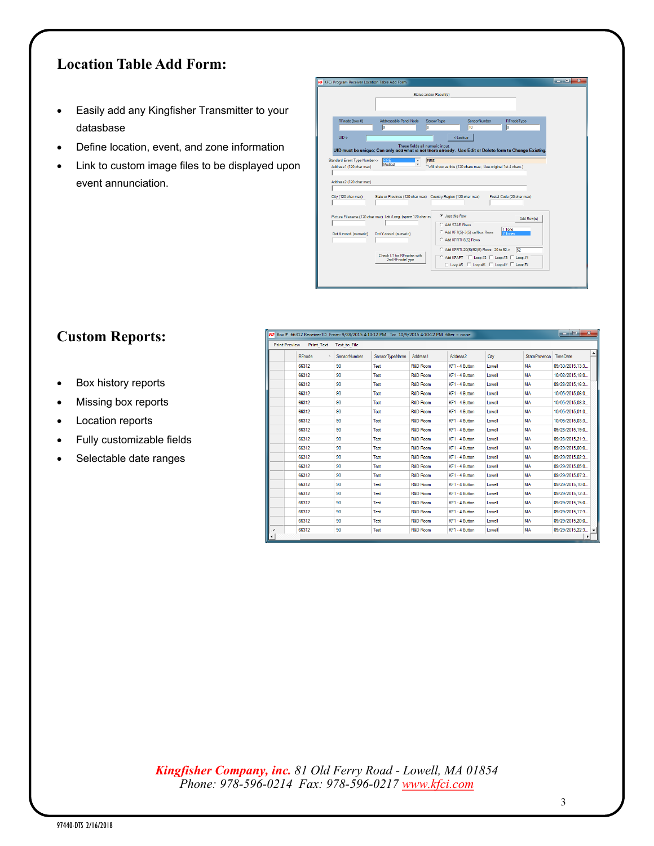## **Location Table Add Form:**

- Easily add any Kingfisher Transmitter to your datasbase
- Define location, event, and zone information
- Link to custom image files to be displayed upon event annunciation.

|                                                |                                                                | Status and/or Result(s)                                                                                 |
|------------------------------------------------|----------------------------------------------------------------|---------------------------------------------------------------------------------------------------------|
|                                                |                                                                |                                                                                                         |
|                                                |                                                                |                                                                                                         |
| RFnode (box #)                                 | Addressable Panel Node                                         | SensorNumber<br>SensorType<br>RFnodeTvpe                                                                |
|                                                | lo                                                             | 10<br>lo<br>lo                                                                                          |
| $UID->$                                        |                                                                | <-Lookup                                                                                                |
|                                                | These fields all numeric input.                                | UID must be unique; Can only add what is not there already. Use Edit or Delete form to Change Existing. |
|                                                |                                                                |                                                                                                         |
| Address2 (120 char max)<br>City (120 char max) |                                                                | State or Province (120 char max) Country Region (120 char max)<br>Postal Code (20 char max)             |
|                                                |                                                                |                                                                                                         |
|                                                | Picture Filename (120 char max) Lati /Long. (spare 120 char m) | C Just this Row<br>Add Row(s)                                                                           |
|                                                | Dot Y coord, (numeric)                                         | C. Add STAR Rows<br>1 Tone<br>C Add KF1(S)-3(S) callbox Rows<br>2 Tones                                 |
| Dot X coord. (numeric)                         |                                                                | C Add KFRTI-8(S) Rows                                                                                   |
|                                                | Check I T for REnodes with<br>2nd RFnodeType                   | Add KFRTI-20(S)/52(S) Rows: 20 to 52-><br>52<br>C Add KFAPT T Loop #2 T Loop #3 T Loop #4               |

## **Custom Reports:**

- Box history reports
- Missing box reports
- Location reports
- Fully customizable fields
- Selectable date ranges

| واردر<br>$\mathbf{x}$<br>$\overline{AF}$ Box # 66312 ReceiverTD From: 9/28/2015 4:10:12 PM To: 10/9/2015 4:10:12 PM filter = none |        |                                |      |                     |                      |        |                      |                  |              |  |
|-----------------------------------------------------------------------------------------------------------------------------------|--------|--------------------------------|------|---------------------|----------------------|--------|----------------------|------------------|--------------|--|
| <b>Print Preview</b><br><b>Print Text</b><br>Text to File                                                                         |        |                                |      |                     |                      |        |                      |                  |              |  |
|                                                                                                                                   | RFnode | SensorTypeName<br>SensorNumber |      | Address1            | Address <sub>2</sub> | City   | <b>StateProvince</b> | <b>TimeDate</b>  |              |  |
|                                                                                                                                   | 66312  | 90                             | Test | R&D Room            | KF1 - 4 Button       | Lowell | MA                   | 09/30/2015.13:3  |              |  |
|                                                                                                                                   | 66312  | 90                             | Test | <b>R&amp;D Room</b> | KF1 - 4 Button       | Lowell | MA                   | 10/02/2015.18:0  |              |  |
|                                                                                                                                   | 66312  | 90                             | Test | <b>R&amp;D Room</b> | KF1 - 4 Button       | Lowell | <b>MA</b>            | 09/28/2015.16:3  |              |  |
|                                                                                                                                   | 66312  | 90                             | Test | <b>R&amp;D Room</b> | KF1 - 4 Button       | Lowell | <b>MA</b>            | 10/05/2015.06:0  |              |  |
|                                                                                                                                   | 66312  | 90                             | Test | R&D Room            | KF1 - 4 Button       | Lowell | MA                   | 10/05/2015.08:3. |              |  |
|                                                                                                                                   | 66312  | 90                             | Test | R&D Room            | KF1 - 4 Button       | Lowell | MA                   | 10/05/2015.01:0  |              |  |
|                                                                                                                                   | 66312  | 90                             | Test | <b>R&amp;D Room</b> | KF1 - 4 Button       | Lowell | <b>MA</b>            | 10/05/2015.03:3  |              |  |
|                                                                                                                                   | 66312  | 90                             | Test | <b>R&amp;D Room</b> | KF1 - 4 Button       | Lowell | <b>MA</b>            | 09/28/2015.19:0  |              |  |
|                                                                                                                                   | 66312  | 90                             | Test | R&D Room            | KF1 - 4 Button       | Lowell | MA                   | 09/28/2015.21:3  |              |  |
|                                                                                                                                   | 66312  | 90                             | Test | <b>R&amp;D Room</b> | KF1 - 4 Button       | Lowell | <b>MA</b>            | 09/29/2015.00:0  |              |  |
|                                                                                                                                   | 66312  | 90                             | Test | <b>R&amp;D Room</b> | KF1 - 4 Button       | Lowell | <b>MA</b>            | 09/29/2015.02:3  |              |  |
|                                                                                                                                   | 66312  | 90                             | Test | R&D Room            | KF1 - 4 Button       | Lowell | MA                   | 09/29/2015.05:0  |              |  |
|                                                                                                                                   | 66312  | 90                             | Test | R&D Room            | KF1 - 4 Button       | Lowell | MA                   | 09/29/2015.07:3  |              |  |
|                                                                                                                                   | 66312  | 90                             | Test | <b>R&amp;D Room</b> | KF1 - 4 Button       | Lowell | <b>MA</b>            | 09/29/2015.10:0  |              |  |
|                                                                                                                                   | 66312  | 90                             | Test | <b>R&amp;D Room</b> | KF1 - 4 Button       | Lowell | <b>MA</b>            | 09/29/2015.12:3  |              |  |
|                                                                                                                                   | 66312  | 90                             | Test | <b>R&amp;D Room</b> | KF1 - 4 Button       | Lowell | MA                   | 09/29/2015.15:0  |              |  |
|                                                                                                                                   | 66312  | 90                             | Test | R&D Room            | KF1 - 4 Button       | Lowell | MA                   | 09/29/2015.17:3  |              |  |
|                                                                                                                                   | 66312  | 90                             | Test | <b>R&amp;D Room</b> | KF1 - 4 Button       | Lowell | <b>MA</b>            | 09/29/2015.20:0  |              |  |
| $\overline{\phantom{a}}$                                                                                                          | 66312  | 90                             | Test | <b>R&amp;D Room</b> | KF1 - 4 Button       | Lowell | MA                   | 09/29/2015.22:3  | $\mathbf{v}$ |  |
|                                                                                                                                   |        |                                |      |                     |                      |        |                      |                  |              |  |

*Kingfisher Company, inc. 81 Old Ferry Road - Lowell, MA 01854 Phone: 978-596-0214 Fax: 978-596-0217 [www.kfci.com](http://www.kfci.com/)*